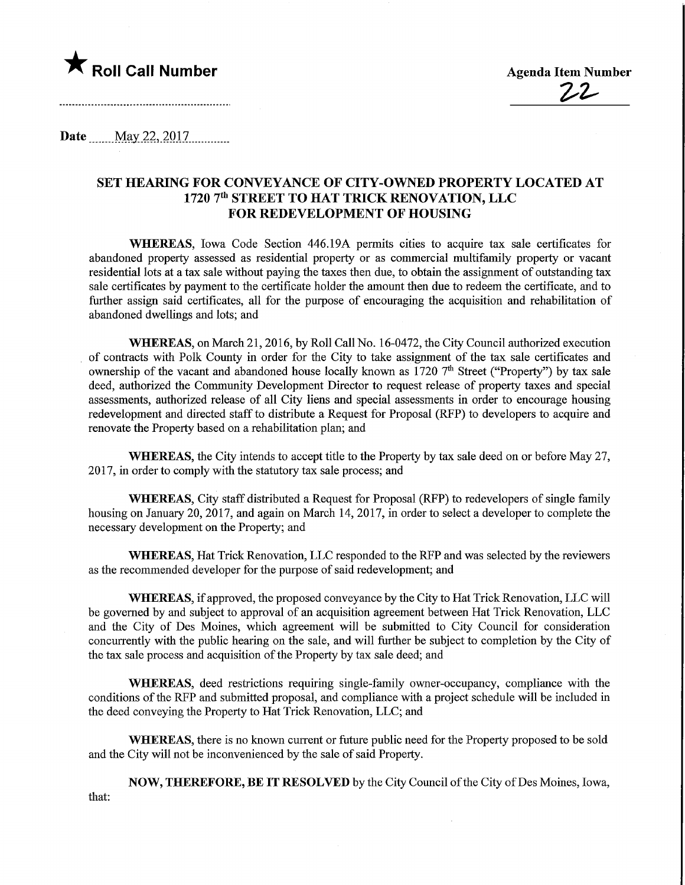

Date May 22, 2017

## SET HEARING FOR CONVEYANCE OF CITY-OWNED PROPERTY LOCATED AT 1720 7<sup>th</sup> STREET TO HAT TRICK RENOVATION, LLC FOR REDEVELOPMENT OF HOUSING

WHEREAS, Iowa Code Section 446.19A permits cities to acquire tax sale certificates for abandoned property assessed as residential property or as commercial multifamily property or vacant residential lots at a tax sale without paying the taxes then due, to obtain the assignment of outstandmg tax sale certificates by payment to the certificate holder the amount then due to redeem the certificate, and to further assign said certificates, all for the purpose of encouraging the acquisition and rehabilitation of abandoned dwellings and lots; and

WHEREAS, on March 21,2016, by Roll Call No. 16-0472, the City Council authorized execution of contracts with Polk County in order for the City to take assignment of the tax sale certificates and ownership of the vacant and abandoned house locally known as  $1720$  <sup>7th</sup> Street ("Property") by tax sale deed, authorized the Community Development Director to request release of property taxes and special assessments, authorized release of all City liens and special assessments in order to encourage housing redevelopment and directed staff to distribute a Request for Proposal (RFP) to developers to acquire and renovate the Property based on a rehabilitation plan; and

WHEREAS, the City intends to accept title to the Property by tax sale deed on or before May 27, 2017, in order to comply with the statutory tax sale process; and

WHEREAS, City staff distributed a Request for Proposal (RFP) to redevelopers of single family housing on January 20, 2017, and again on March 14, 2017, in order to select a developer to complete the necessary development on the Property; and

WHEREAS, Hat Trick Renovation, LLC responded to the RFP and was selected by the reviewers as the recommended developer for the purpose of said redevelopment; and

WHEREAS, if approved, the proposed conveyance by the City to Hat Trick Renovation, LLC will be governed by and subject to approval of an acquisition agreement between Hat Trick Renovation, LLC and the City of Des Moines, which agreement will be submitted to City Council for consideration concurrently with the public hearing on the sale, and will further be subject to completion by the City of the tax sale process and acquisition of the Property by tax sale deed; and

WHEREAS, deed restrictions requiring single-family owner-occupancy, compliance with the conditions of the RFP and submitted proposal, and compliance with a project schedule will be included in the deed conveying the Property to Hat Trick Renovation, LLC; and

WHEREAS, there is no known current or future public need for the Property proposed to be sold and the City will not be inconvenienced by the sale of said Property.

NOW, THEREFORE, BE IT RESOLVED by the City Council of the City of Des Moines, Iowa, that: